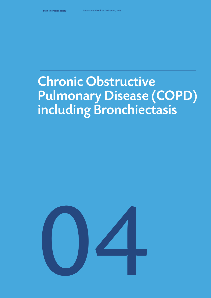# Chronic Obstructive Pulmonary Disease (COPD) including Bronchiectasis

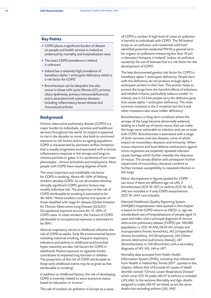## **Key Points**

- COPD places a significant burden of disease on people and health services in Ireland as evidenced by mortality and hospitalisation rates
- The exact COPD prevalence in Ireland is unknown
- Ireland has a relatively high prevalence of hereditary alpha-1 antitrypsin deficiency which is a risk factor for COPD
- Bronchiectasis can be idiopathic but also occurs in those with cystic fibrosis (CF), primary ciliary dyskinesia, primary immunodeficiencies and is associated with systemic diseases, including inflammatory bowel disease and rheumatoid arthritis

## **Background**

Chronic obstructive pulmonary disease (COPD) is a major burden to individuals, societies and healthcare services throughout the world. Its impact is expected to rise in the decades to come, due both to continued exposure to risk factors and to an ageing population. COPD is characterised by persistent airflow limitation that is usually progressive and associated with a chronic inflammatory response in the airways and lungs to noxious particles or gases. It is a syndrome of two main phenotypes - chronic bronchitis and emphysema. Most people with COPD have varying degrees of both.

The most important and modifiable risk factor for COPD is smoking. About 40–50% of lifelong smokers develop COPD. As not all smokers develop clinically significant COPD, genetic factors may modify individual risk. The proportion of the risk of COPD attributable to smoking is estimated to be 40–60%1 . Never-smokers comprise one-quarter of those classified with stage II+ disease (Global Initiative for Chronic Obstructive Lung Disease (GOLD))*<sup>1</sup>* . Occupational exposure accounts for 15–20% of COPD cases. In never-smokers, the fraction of COPD attributable to occupational exposure is estimated to be 30%*<sup>1</sup>* .

Adverse respiratory events in childhood influence the risk of COPD as adults. Early life environmental factors including maternal smoking, frequent respiratory infections and asthma in childhood and bronchial hyper-reactivity are also risk factors for COPD in adulthood. Passive exposure to cigarette smoke contributes to impaired lung function in children. The proportion of the risk of COPD attributable to these early childhood events may be as great as that attributable to smoking*<sup>1</sup>* .

In addition to childhood factors, the risk of developing COPD is inversely related to socio-economic status based on education or income.*<sup>2</sup>*

of COPD is unclear. A high level of urban air pollution is harmful to individuals with COPD. The 'All Ireland study on air pollution and residential solid fuel' identified potential residential PM10 (a general term for organic air pollutants measuring less than 10 µm in diameter) hotspots in Ireland*<sup>3</sup>* . Indoor air pollution caused by the use of biomass fuel is a risk factor for the development of COPD.

The best documented genetic risk factor for COPD is hereditary alpha-1 antitrypsin deficiency. People born with this deficiency do not produce enough alpha-1 antitrypsin protein in their liver. This protein helps to protect the lungs from the harmful effects of infections and inhaled irritants, particularly tobacco smoke*<sup>4</sup>* . In Ireland, one in 25 Irish people carry the defective gene that causes alpha-1 antitrypsin deficiency. The most common mutation is the Z mutation but the S and other mutations also cause milder deficiency*<sup>5</sup>* .

Bronchiectasis is a long-term condition where the airways of the lungs become abnormally widened, leading to a build-up of excess mucus that can make the lungs more vulnerable to infection and can co-exist with COPD. Bronchiectasis is associated with a range of both common and rare diseases, some of which impact on mucociliary clearance and immunity. When mucus clearance and local defence mechanisms against micro-organisms are impaired, repeated infection causes damage which further impedes the clearance of mucus. The airway dilation and consequent further impairment of mucociliary clearance combine to further increase susceptibility to repeated infection in the lungs.

Minor discrepancies in figures quoted for COPD can occur if there are different age cut offs, if bronchiectasis (ICD 10: J47) or asthma (ICD 10: J45, J46) are included or if only COPD exacerbations (ICD 10: J44.1) are included.

National Healthcare Quality Reporting System (NHQRS) hospitalisation data quoted in this chapter is based on Irish COPD returns to OECD i.e. age-sex standardised rate of hospitalisations of people aged 15 years and older with a principal diagnosis of chronic obstructive pulmonary disease (COPD) per 100,000 population i.e. ICD-10-AM/ACHI J41 (simple and mucopurulent chronic bronchitis), J42 (Unspecified chronic bronchitis), J43 (Emphysema), J44 (Other chronic obstructive pulmonary disease), J47 (Bronchiectasis) or J40 (Bronchitis) with a secondary diagnosis of J41, J43, J44 or J47*<sup>6</sup>* .

Mortality data accessed from Public Health Information System (PHIS), including that referenced from Health in Ireland Key Trends 2017*<sup>7</sup>* , quoted in this chapter, reflects that of Eurostat 65 causes of death shortlist named "Chronic Lower Respiratory Disease" which cover ICD 10 codes J40-47 ie asthma is included (J45,J46). In the sections Mortality and Age, deaths assigned to codes J40-47 are listed, as are the same deaths but excluding asthma (J45, J46)*<sup>7</sup>* .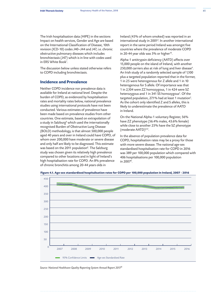The Irish hospitalisation data (HIPE) in the sections Impact on health services, Gender and Age are based on the International Classification of Disease, 10th revision (ICD-10) codes J40–J44 and J47, i.e. chronic obstructive pulmonary diseases which includes bronchiectasis (J47) which is in line with codes used in ERS White Book*<sup>1</sup>* .

The discussion below unless stated otherwise refers to COPD including bronchiectasis.

# **Incidence and Prevalence**

Neither COPD incidence nor prevalence data is available for Ireland at national level. Despite the burden of COPD, as evidenced by hospitalisation rates and mortality rates below, national prevalence studies using international protocols have not been conducted. Various estimates of prevalence have been made based on prevalence studies from other countries. One estimate, based on extrapolation of a study in Salzburg<sup>8</sup> which used the internationally recognised Burden of Obstructive Lung Disease (BOLD) methodology, is that almost 500,000 people aged 40 years and over in Ireland could have COPD, of whom over 200,000 have moderate or severe disease and only half are likely to be diagnosed. This estimate was based on the 2011 population*<sup>6</sup>* . The Salzburg study was chosen given its relatively high prevalence compared to other locations and in light of Ireland's high hospitalisation rate for COPD. An 8% prevalence of chronic bronchitis among 20-44 years olds in

Ireland (45% of whom smoked) was reported in an international study in 2001*<sup>9</sup>* . In another international report in the same period Ireland was amongst five countries where the prevalence of moderate COPD in 20-44 year olds was 5% or higher*<sup>10</sup>*.

Alpha-1 antitrypsin deficiency (AATD) affects over 15,000 people on the island of Ireland, with another 250,000 carriers also at risk of lung and liver disease*<sup>4</sup>* . An Irish study of a randomly selected sample of 1,100 plus a targeted population reported that in the former, 1 in 25 were heterogenous for Z allele and 1 in 10 heterogenous for S allele. Of importance was that 1 in 2,104 were ZZ homozygous, 1 in 424 were SZ heterozygous and 1 in 341 SS homozygous*<sup>5</sup>* . Of the targeted population, 27.1% had at least 1 mutation*<sup>5</sup>* . As the cohort only identified Z and S alleles, this is likely to underestimate the prevalence of AATD in Ireland.

On the National Alpha-1 voluntary Register, 56% have ZZ phenotype (56.4% males, 43.6% female) while close to another 25% have the SZ phenotype (moderate AATD)*4,12*.

In the absence of population prevalence data for COPD, hospitalisation rates may be a proxy for those with more severe disease. The national age-sex standardised hospitalisation rate for COPD in 2016 was 389 per 100,000 population which compared with 406 hospitalisations per 100,000 population in 2007*<sup>6</sup>* .





*Source: National Healthcare Quality Reporting System Annual Report 20176*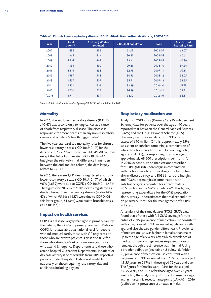| Year    | <b>Total</b><br>J40-47 | Asthma (J45,46)<br>excluded | /100,000 population | 5yrs    | <b>Standarised</b><br><b>Mortality Rate</b> |
|---------|------------------------|-----------------------------|---------------------|---------|---------------------------------------------|
| 2007    | 1,496                  | 1435                        | 34.19               | 2003-07 | 63.07                                       |
| 2008    | 1,365                  | 1313                        | 30.43               | 2004-08 | 60.61                                       |
| 2009    | 1,516                  | 1463                        | 33.41               | 2005-09 | 60.89                                       |
| 2010    | 1,334                  | 1490                        | 29.28               | 2006-10 | 59.24                                       |
| 2011    | 1,514                  | 1458                        | 32.78               | 2007-11 | 59.11                                       |
| 2012    | 1,587                  | 1548                        | 34.55               | 2008-12 | 58.05                                       |
| 2013    | 1,657                  | 1609                        | 35.91               | 2009-13 | 58.55                                       |
| 2014    | 1,551                  | 1514                        | 33.39               | 2010-14 | 57.73                                       |
| 2015    | 1,701                  | 1627                        | 36.29               | 2011-15 | 59.21                                       |
| $*2016$ | 1,711                  | 1639                        | 36.10               | 2012-16 | 58.81                                       |

## **Table 4.1. Chronic lower respiratory disease: ICD 10 J40-47. Standardised death rate, 2007-2016**

*Source: Public Health Information System(PHIS) \* Provisional data for 2016*

# **Mortality**

In 2016, chronic lower respiratory disease (ICD 10: J40-47) was second only to lung cancer as a cause of death from respiratory disease. The disease is responsible for more deaths than any non-respiratory cancer and is Ireland's fourth biggest killer*<sup>7</sup>* .

The five year standardised mortality rates for chronic lower respiratory disease (ICD 10: J40-47) for the decade 2007 - 2016 are shown in table 4.1. All columns except the 3rd column relate to ICD 10: J40-47 but given the relatively small difference in numbers between the 2nd and 3rd column, the data largely relates to COPD.

In 2016, there were 1,711 deaths registered as chronic lower respiratory disease (ICD 10: J40-47) of which 96% (1,639) were due to COPD (ICD 10: J40-44,47)*<sup>13</sup>*. The figures for 2015 were 1,701 deaths registered as due to chronic lower respiratory disease (codes J40- 47) of which 95.6% (1,627) were due to COPD. Of this latter group, 51 (3%) were due to bronchiectasis (ICD 10: J47)*<sup>14</sup>*.

# **Impact on health services**

COPD is a disease largely managed in primary care by the patient, their GP and primary care team. Data on COPD is not available at a national level for people with full medical cards, those with GP only cards or those who are private patients. This is also true for those who attend GP out of hours services, those who attend Emergency Departments and those who attend hospital Outpatient Departments. Inpatient or day case activity is only available from HIPE reporting publicly funded hospitals. Data is not available nationally on those requiring respiratory aids and appliances including oxygen.

# **Respiratory medication use**

Analysis of 2013 PCRS (Primary Care Reimbursement Scheme) data for patients over the age of 40 years reported that between the General Medical Services (GMS) and the Drugs Payment Scheme (DPS), pharmacy claims for inhalers for COPD cost in excess of  $E$ 90 million. Of this, approximately 55% was spent on inhalers containing a combination of inhaled corticosteroid (ICS) and long-acting beta, agonist (LABAs), corresponding to an average of approximately 68,500 prescriptions per month*<sup>15</sup>*. In 2016, expenditure on medications prescribed for COPD (R03AK - adrenergic in combination with corticosteroids or other drugs for obstructive airway disease airway, and R03BB - anticholinergics, and R03AL-adrenergics in combination with anticholinergics) accounted for approximately ¤67.6 million in the GMS population*<sup>16</sup>*. This figure, representing expenditure for the GMS population alone, grossly underestimates the total expenditure on pharmaceuticals for the management of COPD in Ireland.

An analysis of the same dataset (PCRS-GMS) data found that of those with full GMS coverage for the entire of 2016, prevalence of medication use consistent with a diagnosis of COPD increased significantly with age, and also showed gender differences*<sup>17</sup>*. Prevalence of medication use was higher in females than males up to the age of 65 years, after which prevalence of medication use amongst males surpassed those of females, though the difference was minimal. Using a broader definition (see table 4.2 below: definition 2), prevalence of medication use consistent with a diagnosis of COPD increased from 7.5% of males aged 45-55 years, to 21.7% in those aged 75 years and over. The figures for females were 10.1% for those aged 45-55 years, and 18.9% for those aged over 75 years. Restricting the analysis to just those dispensed a longacting muscarinic receptor antagonist (LAMA) in 2016 (definition 1), prevalence estimates in males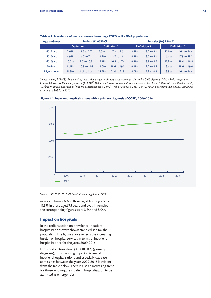| Age and over | Males (%) 95% CI |              |                     | <b>Females (%) 95% CI</b> |                     |                       |                     |              |
|--------------|------------------|--------------|---------------------|---------------------------|---------------------|-----------------------|---------------------|--------------|
|              | Definition 1     |              | <b>Definition 2</b> |                           | <b>Definition 1</b> |                       | <b>Definition 2</b> |              |
| 45-55yrs     | 2.6%             | 2.5 to 2.7   | 7.5%                | 7.3 to 7.6                | 3.3%                | $3.2$ to $3.4$        | $10.1\%$            | 16.1 to 16.4 |
| 55-64yrs     | 6.9%             | 6.7 to 7.1   | 12.9%               | 12.7 to 13.1              | 8.2%                | 8.0 to 8.4            | 16.4%               | 17.9 to 18.2 |
| 65-69yrs     | 10.0%            | 9.7 to 10.3  | 17.2%               | 16.8 to 17.6              | $9.2\%$             | 8.9 to 9.5            | 17.9%               | 18.4 to 18.8 |
| 70-74yrs     | $11.1\%$         | 10.9 to 11.4 | 19.0%               | 18.6 to 19.3              | 9.4%                | $9.2 \text{ to } 9.7$ | 18.6%               | 18.6 to 19.0 |
| 75yrs & over | 11.3%            | 11.1 to 11.6 | 21.7%               | 21.4 to 21.9              | 8.0%                | 7.9 to 8.2            | 18.9%               | 16.1 to 16.4 |

## **Table 4.2. Prevalence of medication use to manage COPD in the GMS population**

*Source: Hurley, E (2018). An analysis of medication use for respiratory disease amongst those with GMS eligibility (2015 - 2016) - a focus on Chronic Obstructive Pulmonary Disease (COPD)17. Definition 1: were dispensed at least one prescription for a LAMA (with or without a LABA) \*Definition 2: were dispensed at least one prescription for a LAMA (with or without a LABA), an ICS & LABA combination, OR a SAMA (with or without a SABA) in 2016.*



**Figure 4.2. Inpatient hospitalisations with a primary diagnosis of COPD, 2009-2016**

*Source: HIPE 2009-2016. All hospitals reporting data to HIPE* 

increased from 2.6% in those aged 45-55 years to 11.3% in those aged 75 years and over. In females the corresponding figures were 3.3% and 8.0%.

# **Impact on hospitals**

In the earlier section on prevalence, inpatient hospitalisations were shown standardised for the population. The figure above reflects the increasing burden on hospital services in terms of inpatient hospitalisations for the years 2009-2016.

For bronchiectasis alone (ICD 10: J47) (primary diagnosis), the increasing impact in terms of both inpatient hospitalisations and especially day case admissions between the years 2009-2016 is evident from the table below. There is also an increasing trend for those who require inpatient hospitalisation to be admitted as emergencies.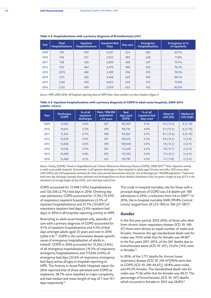| Year | <b>Total</b><br><b>Hospitalisations</b> | Inpatient<br><b>Hospitalisations</b> | <b>Inpatient Bed</b><br><b>Days</b> | Day case | <b>Emergency</b><br><b>Hospitalisations</b> | Emergency as %<br>of inpatients |
|------|-----------------------------------------|--------------------------------------|-------------------------------------|----------|---------------------------------------------|---------------------------------|
| 2009 | 704                                     | 450                                  | 3,547                               | 254      | 284                                         | 63.1%                           |
| 2010 | 704                                     | 321                                  | 2,922                               | 383      | 228                                         | 71.0%                           |
| 2011 | 738                                     | 338                                  | 2,890                               | 400      | 247                                         | 73.1%                           |
| 2012 | 952                                     | 464                                  | 3,470                               | 488      | 326                                         | 70.3%                           |
| 2013 | 1.070                                   | 480                                  | 3,389                               | 590      | 376                                         | 78.3%                           |
| 2014 | 1,131                                   | 502                                  | 3,448                               | 629      | 402                                         | 80.1%                           |
| 2015 | 1,136                                   | 492                                  | 4,023                               | 644      | 373                                         | 75.8%                           |
| 2016 | 1,132                                   | 499                                  | 3,959                               | 633      | 412                                         | 82.6%                           |

#### **Table 4.3. Hospitalisations with a primary diagnosis of Bronchiectasis (J47)**

*Source: HIPE 2009-2016. All hospitals reporting data to HIPE Note: these numbers are also included in figure 2*

**Table 4.4. Inpatient hospitalisations with a primary diagnosis of COPD in adult acute hospitals, 2009-2016 (adults** ≥**35yrs)** 

| Year | <b>Discharges</b><br><b>COPD</b> | $%$ of all<br>inpatient<br>discharges | Rate / 100,000<br>population<br>$\geq$ 35 years | <b>Bed</b><br>days used<br><b>COPD</b> | $%$ of all<br>inpatient bed<br>days used | Mean &<br>LOS (SD) | Median &<br>LOS (IQR) |
|------|----------------------------------|---------------------------------------|-------------------------------------------------|----------------------------------------|------------------------------------------|--------------------|-----------------------|
| 2009 | 11,026                           | 3.6%                                  | 507                                             | 102,907                                | 4.1%                                     | 9.3(13.5)          | $6(3-10)$             |
| 2010 | 10,615                           | 3.5%                                  | 478                                             | 98,718                                 | 4.0%                                     | 9.3(15.4)          | $6(3-10)$             |
| 2011 | 11,364                           | 3.7%                                  | 500                                             | 99,269                                 | 4.1%                                     | 8.7(13.2)          | $6(3-10)$             |
| 2012 | 13,059                           | 3.9%                                  | 567                                             | 105,132                                | 4.3%                                     | 8.0(13.2)          | $5(3-9)$              |
| 2013 | 13,830                           | 4.0%                                  | 590                                             | 109,048                                | 4.4%                                     | 7.8(13.5)          | $5(2-9)$              |
| 2014 | 14,140                           | 3.9%                                  | 591                                             | 111,349                                | 4.4%                                     | 7.8(11.7)          | $5(2-9)$              |
| 2015 | 14,489                           | 4.0%                                  | 592                                             | 115,593                                | 4.4%                                     | 7.9(12.1)          | $5(2-9)$              |
| 2016 | 15,460                           | 4.1%                                  | 614                                             | 119,787                                | 4.5%                                     | 7.7(11.8)          | $5(2-9)$              |

*Source: Hurley, E(2018). Trends in hospitalisations for Chronic Obstructive Pulmonary Disease (COPD), 2009-2017.18 Note: Inpatient activity in adult acute public hospitals. Denominator is all inpatient discharges in those hospitals in adults aged 35 years and older. CSO census data*  (2011,2016) and CSO population estimates for other years provide denominator data for rate of discharges per 100,000 population. <sup>er</sup>Inpatients *with same day discharge (example those admitted and discharged from an Acute Medical Assessment Unit) are given a length of stay of 0.5 in the calculation of average length of stay (LOS), and a bed days used of one.*

COPD accounted for 17,448 (1.0%) hospitalisations and 126,336 (2.7%) bed days in 2016. Omitting day case admissions, COPD accounted for 17.3% (15,959) of respiratory inpatient hospitalisations (2.5% of inpatient hospitalisations) and 21.7% (124,847) of respiratory inpatient bed days (3.4% inpatient bed days) in 2016 in all hospitals reporting activity to HIPE.

Restricting to adult acute hospitals only, episodes of care with a primary diagnosis of COPD accounted for 4.1% of inpatient hospitalisations and 4.5% of bed days amongst adults aged 35 years and over in 2016 (table 4.4) *<sup>18</sup>*. COPD is the commonest disease-specific cause of emergency hospitalisation of adults in Ireland*<sup>6</sup>* . COPD in 2016 accounted for 15,262 (3.6%) of all emergency hospitalisations (19.5% of respiratory emergency hospitalisations) and 117,626 (4.6%) of emergency bed days (22.6% of respiratory emergency bed days) across all ages in hospitals reporting to HIPE. The Activity in Acute Public Hospitals report for 2016 reported that of those admitted with COPD as inpatients, 38.7% were classified as major complexity and had median and mean length of stay of 7 and 10.7 days respectively*<sup>19</sup>*.

The crude in-hospital mortality rate for those with a principal diagnosis of COPD was 3.6 deaths per 100 admissions in 2016, a reduction from 4.6 in 2007*<sup>20</sup>*. In 2016, the in-hospital mortality SMR (99.8% Control Limits) ranged from 29 (23-190) to 169 (27-187)*<sup>20</sup>*.

## **Gender**

In the five year period, 2012-2016, of those who died from chronic lower respiratory disease (ICD 10: J40- 47) there were almost an equal number of males and females. However, the age standardised death rate for males was 74.95 while that for females was 49.80*<sup>13</sup>*. In the five years 2011-2015, of the 267 deaths due to bronchiectasis alone (ICD 10: J47), 53.6% (143) were in females*<sup>14</sup>*.

In 2016, of the 1,711 deaths for chronic lower respiratory disease (ICD 10: J40-47)(96% were due to COPD (ICD 10: J40-44,47)), 50.8% were males and 49.2% females. The standardised death rate for males was 71.56 while that for females was 48.51. The percentage of bronchiectasis (ICD 10: J47) deaths which occurred in females in 2015 was 58.8%*<sup>14</sup>*.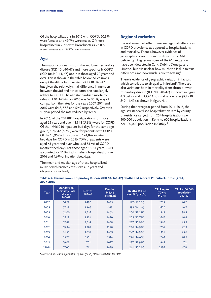Of the hospitalisations in 2016 with COPD, 50.3% were females and 49.7% were males. Of those hospitalised in 2016 with bronchiectasis, 61.0% were females and 39.0% were males.

# **Age**

The majority of deaths from chronic lower respiratory disease (ICD 10: J40-47) and more specifically COPD (ICD 10: J40-44, 47) occur in those aged 70 years and over. This is shown in the table below. All columns except the 4th column relate to ICD 10: J40-47 but given the relatively small difference in numbers between the 3rd and 4th column, the data largely relates to COPD. The age standardised mortality rate (ICD 10: J40-47) in 2016 was 57.05. By way of comparison, the rates for the years 2007, 2011 and 2015 were 64.8, 57.8 and 59.0 respectively. Over this 10 year period the rate reduced by 12.0%.

In 2016, of the 204,882 hospitalisations for those aged 65 years and over, 11,948 (5.8%) were for COPD. Of the 1,946,040 inpatient bed days for the same age group, 101,842 (5.2%) were for patients with COPD. Of the 15,959 admissions and 124,847 inpatient bed days for COPD in 2016, 75% of patients were aged 65 years and over who used 81.6% of COPD inpatient bed days. For those aged 16-64 years, COPD accounted for 1.1% of all inpatient hospitalisations in 2016 and 1.6% of inpatient bed days.

The mean and median age of those hospitalised in 2016 with bronchiectasis was 62 years and 66 years respectively.

# **Regional variation**

It is not known whether there are regional differences in COPD prevalence as opposed to hospitalisations and mortality. There is however evidence of geographical variations in the detection of AAT deficiency*<sup>4</sup>* . Higher numbers of the MZ mutation have been detected in Cork, Dublin, Donegal and Limerick but it is unclear how much this is due to true differences and how much is due to testing*<sup>4</sup>* .

There is evidence of geographic variation in factors which contribute to air quality in Ireland*<sup>3</sup>* . There are also variations both in mortality from chronic lower respiratory disease (ICD 10: J40-47) as shown in figure 4.3 below and in COPD hospitalisation rates (ICD 10: J40-44,47) as shown in figure 4.4.

During the three year period from 2014-2016, the age-sex standardised hospitalisation rate by county of residence ranged from 254 hospitalisations per 100,000 population in Kerry to 600 hospitalisations per 100,000 population in Offaly *<sup>6</sup>* .

| Year    | <b>Standarised</b><br><b>Mortality Rate</b><br>all ages<br>J40-47 | <b>Deaths</b><br>J40-47 | <b>Deaths</b><br>J45,46<br>excluded | Deaths J40-47<br>age <70yrs (%) | <b>YPLL</b> up to<br>70 yrs<br>J40-47 | YPLL/100,000<br>population<br>J40-47 |
|---------|-------------------------------------------------------------------|-------------------------|-------------------------------------|---------------------------------|---------------------------------------|--------------------------------------|
| 2007    | 64.79                                                             | 1,496                   | 1435                                | 197 (13.2%)                     | 1765                                  | 44.7                                 |
| 2008    | 57.27                                                             | 1,365                   | 1313                                | 192 (14.1%)                     | 1620                                  | 40.7                                 |
| 2009    | 62.00                                                             | 1,516                   | 1463                                | 200 (13.2%)                     | 1549                                  | 38.8                                 |
| 2010    | 53.19                                                             | 1,334                   | 1490                                | 209 (15.7%)                     | 1667                                  | 40.4                                 |
| 2011    | 57.81                                                             | 1,514                   | 1458                                | 227 (15.0%)                     | 1966                                  | 45.5                                 |
| 2012    | 59.84                                                             | 1.587                   | 1548                                | 236 (14.9%)                     | 1766                                  | 42.3                                 |
| 2013    | 61.55                                                             | 1,657                   | 1609                                | 247 (14.9%)                     | 1931                                  | 45.6                                 |
| 2014    | 55.77                                                             | 1551                    | 1514                                | 226 (14.6%)                     | 1740                                  | 40.5                                 |
| 2015    | 59.03                                                             | 1701                    | 1627                                | 237 (13.9%)                     | 1965                                  | 47.2                                 |
| $*2016$ | 57.05                                                             | 1711                    | 1639                                | 261 (15.2%)                     | 2186                                  | 47.8                                 |

**Table 4.5. Chronic Lower Respiratory Disease (ICD 10: J40-47) Deaths and Years of Potential Life lost (YPLL): 2007-2016**

*Source: Public Health Information System (PHIS) \*Provisional data for 2016*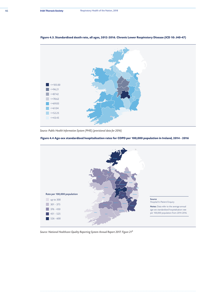

## **Figure 4.3. Standardised death rate, all ages, 2012-2016. Chronic Lower Respiratory Disease (ICD 10: J40-47)**

*Source: Public Health Information System (PHIS) (provisional data for 2016)*

# **Figure 4.4 Age-sex standardised hospitalisation rates for COPD per 100,000 population in Ireland, 2014 - 2016**



*Source: National Healthcare Quality Reporting System Annual Report 2017. Figure 216*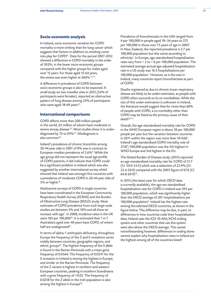## **Socio-economic analysis**

In Ireland, socio-economic variation for COPD mortality is more striking than for lung cancer which suggests that factors in addition to smoking come into play for COPD*<sup>21</sup>*. Data for the period 2007-2012 showed a difference in COPD mortality in the order of 303%, in the lower socio-economic groups compared with the higher groups for males aged over 15 years. For those aged 15-64 years, the excess was even higher at 366% *14, 21*.

A difference in prevalence of COPD between socio-economic groups is also to be expected. A small study on two traveller sites in 2015 (54% of participants were females), reported an obstructive pattern of lung disease among 23% of participants who were aged 18-69 years<sup>22</sup>.

## **International comparisons**

COPD affects more than 200 million people in the world, 65 million of whom have moderate or severe airway disease *23*. Most studies show it is underdiagnosed by 72 to 93%*<sup>24</sup>*. Misdiagnosis is also common*<sup>25</sup>*.

Ireland's prevalence of chronic bronchitis among 20-44 year olds in 2001 of 8% was in contrast to European median prevalence of 2.6%*<sup>9</sup>* . While the age group did not represent the usual age profile of COPD patients, it did indicate that COPD could be a significant problem in Ireland which was also suggested by another international survey which showed that Ireland was amongst five countries with a prevalence of moderate COPD in 20-44 year olds of 5% or higher*<sup>10</sup>*.

Multicentre surveys of COPD in single countries have been coordinated in the European Community Respiratory Health Survey (ECRHS) and the Burden of Obstructive Lung Disease (BOLD) study. Most estimates of COPD prevalence from such large-scale studies are between 5% and 10% and all show an increase with age*<sup>1</sup>* . In 2008, incidence rates in the UK were 185 per 100,000*<sup>26</sup>*. It is estimated that 1 in 7 Australians aged over 40 years have COPD, of whom half are undiagnosed*<sup>27</sup>*.

In terms of alpha-1 antitrypsin deficiency, throughout Europe the frequency of the Z and S mutations varies widely between countries, geographic regions, and ethnic groups*<sup>28</sup>*. The highest frequency of the S allele is found in the Iberian Peninsula with a mean gene frequency of 0.0564. The frequency of 0.0541 for the S mutation in Ireland is among the highest in Europe, and similar to the Iberian Peninsula. The frequency of the Z variant is highest in northern and western European countries, peaking in southern Scandinavia with a gene frequency of >0.02. The frequency of 0.0218 for the Z allele in the Irish population is also among the highest in Europe*<sup>29</sup>*.

Prevalence of bronchiectasis in the USA ranged from 4 per 100,000 in people aged 18–34 years to 272 per 100,000 in those over 75 years of age in 2005*<sup>1</sup>* . In New Zealand, the reported prevalence is 3.7 per 100,000 population but this varies according to ethnicity*<sup>1</sup>* . In Europe, age-standardised hospitalisation rates vary from < 2 to > 6 per 100,000 population. The estimated average annual age-adjusted hospitalisation rate in a US study was 16.5 hospitalisations per 100,000 population*<sup>1</sup>* . However, as is the case in Ireland, many countries report bronchiectasis as part of COPD.

Deaths registered as due to chronic lower respiratory disease are likely to be under-estimates, as people with COPD often succumb to its co-morbidities. While the size of this under-estimation is unknown in Ireland, the literature would suggest that for more than 60% of people with COPD, a co-morbidity other than COPD may be listed as the primary cause of their death*30, 31*.

Overall, the age-standardised mortality rate for COPD in the WHO European region is about 18 per 100,000 people per year but the variation between countries in 2011 within the region was more than 10-fold*<sup>1</sup>* . Ireland's age standardised COPD mortality rate of 27.87/100,000 population was the 5th highest in WHO Europe and 3rd highest in the EU.

The Global Burden of Disease study (2015) reported an age-standardised mortality rate for COPD of 51.7 (CI: 50.0-53.4) which was a reduction of 22.9% (CI: 25.4-20.0) compared with the 2005 figure of 67.0 (CI: 64.8-69.9)*<sup>32</sup>*.

In 2013 (the latest year for which OECD data is currently available), the age-sex standardised hospitalisation rate for COPD in Ireland was 395 per 100,000 population, which was significantly higher than the OECD average of 201 hospitalisations per 100,000 population*<sup>6</sup>* . Ireland has the highest rate among the selected OECD countries, as shown in the figure below. This difference may be due, in part, to differences in how countries code their hospitalisation data; Ireland uses the ICD-10-AM/ACHI coding system and other countries that use this system were also above the OECD average. This caveat notwithstanding however, differences in coding alone cannot explain why hospitalisation rates in Ireland are the highest among all of the countries listed*<sup>6</sup>* .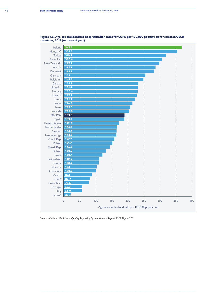

**Figure 4.5. Age-sex standardised hospitalisation rates for COPD per 100,000 population for selected OECD countries, 2013 (or nearest year)** 

*Source: National Healthcare Quality Reporting System Annual Report 2017. Figure 206*